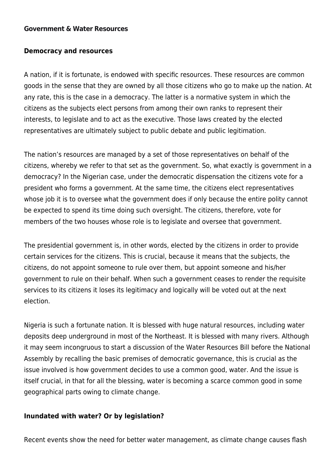#### **[Government & Water Resources](https://thepoliteiainstitute.org/trending-issues/government-water-resources/)**

### **Democracy and resources**

A nation, if it is fortunate, is endowed with specific resources. These resources are common goods in the sense that they are owned by all those citizens who go to make up the nation. At any rate, this is the case in a democracy. The latter is a normative system in which the citizens as the subjects elect persons from among their own ranks to represent their interests, to legislate and to act as the executive. Those laws created by the elected representatives are ultimately subject to public debate and public legitimation.

The nation's resources are managed by a set of those representatives on behalf of the citizens, whereby we refer to that set as the government. So, what exactly is government in a democracy? In the Nigerian case, under the democratic dispensation the citizens vote for a president who forms a government. At the same time, the citizens elect representatives whose job it is to oversee what the government does if only because the entire polity cannot be expected to spend its time doing such oversight. The citizens, therefore, vote for members of the two houses whose role is to legislate and oversee that government.

The presidential government is, in other words, elected by the citizens in order to provide certain services for the citizens. This is crucial, because it means that the subjects, the citizens, do not appoint someone to rule over them, but appoint someone and his/her government to rule on their behalf. When such a government ceases to render the requisite services to its citizens it loses its legitimacy and logically will be voted out at the next election.

Nigeria is such a fortunate nation. It is blessed with huge natural resources, including water deposits deep underground in most of the Northeast. It is blessed with many rivers. Although it may seem incongruous to start a discussion of the Water Resources Bill before the National Assembly by recalling the basic premises of democratic governance, this is crucial as the issue involved is how government decides to use a common good, water. And the issue is itself crucial, in that for all the blessing, water is becoming a scarce common good in some geographical parts owing to climate change.

### **Inundated with water? Or by legislation?**

Recent events show the need for better water management, as climate change causes flash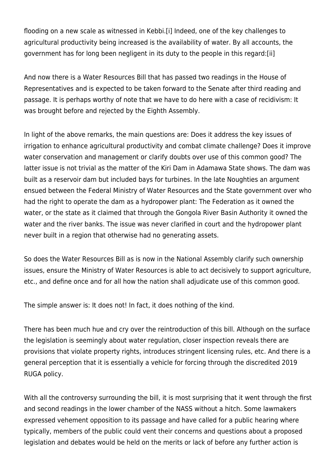flooding on a new scale as witnessed in Kebbi.[\[i\]](#page--1-0) Indeed, one of the key challenges to agricultural productivity being increased is the availability of water. By all accounts, the government has for long been negligent in its duty to the people in this regard:[\[ii\]](#page--1-0)

And now there is a Water Resources Bill that has passed two readings in the House of Representatives and is expected to be taken forward to the Senate after third reading and passage. It is perhaps worthy of note that we have to do here with a case of recidivism: It was brought before and rejected by the Eighth Assembly.

In light of the above remarks, the main questions are: Does it address the key issues of irrigation to enhance agricultural productivity and combat climate challenge? Does it improve water conservation and management or clarify doubts over use of this common good? The latter issue is not trivial as the matter of the Kiri Dam in Adamawa State shows. The dam was built as a reservoir dam but included bays for turbines. In the late Noughties an argument ensued between the Federal Ministry of Water Resources and the State government over who had the right to operate the dam as a hydropower plant: The Federation as it owned the water, or the state as it claimed that through the Gongola River Basin Authority it owned the water and the river banks. The issue was never clarified in court and the hydropower plant never built in a region that otherwise had no generating assets.

So does the Water Resources Bill as is now in the National Assembly clarify such ownership issues, ensure the Ministry of Water Resources is able to act decisively to support agriculture, etc., and define once and for all how the nation shall adjudicate use of this common good.

The simple answer is: It does not! In fact, it does nothing of the kind.

There has been much hue and cry over the reintroduction of this bill. Although on the surface the legislation is seemingly about water regulation, closer inspection reveals there are provisions that violate property rights, introduces stringent licensing rules, etc. And there is a general perception that it is essentially a vehicle for forcing through the discredited 2019 RUGA policy.

With all the controversy surrounding the bill, it is most surprising that it went through the first and second readings in the lower chamber of the NASS without a hitch. Some lawmakers expressed vehement opposition to its passage and have called for a public hearing where typically, members of the public could vent their concerns and questions about a proposed legislation and debates would be held on the merits or lack of before any further action is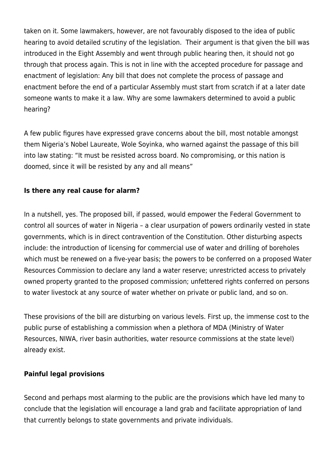taken on it. Some lawmakers, however, are not favourably disposed to the idea of public hearing to avoid detailed scrutiny of the legislation. Their argument is that given the bill was introduced in the Eight Assembly and went through public hearing then, it should not go through that process again. This is not in line with the accepted procedure for passage and enactment of legislation: Any bill that does not complete the process of passage and enactment before the end of a particular Assembly must start from scratch if at a later date someone wants to make it a law. Why are some lawmakers determined to avoid a public hearing?

A few public figures have expressed grave concerns about the bill, most notable amongst them Nigeria's Nobel Laureate, Wole Soyinka, who warned against the passage of this bill into law stating: "It must be resisted across board. No compromising, or this nation is doomed, since it will be resisted by any and all means"

# **Is there any real cause for alarm?**

In a nutshell, yes. The proposed bill, if passed, would empower the Federal Government to control all sources of water in Nigeria – a clear usurpation of powers ordinarily vested in state governments, which is in direct contravention of the Constitution. Other disturbing aspects include: the introduction of licensing for commercial use of water and drilling of boreholes which must be renewed on a five-year basis; the powers to be conferred on a proposed Water Resources Commission to declare any land a water reserve; unrestricted access to privately owned property granted to the proposed commission; unfettered rights conferred on persons to water livestock at any source of water whether on private or public land, and so on.

These provisions of the bill are disturbing on various levels. First up, the immense cost to the public purse of establishing a commission when a plethora of MDA (Ministry of Water Resources, NIWA, river basin authorities, water resource commissions at the state level) already exist.

## **Painful legal provisions**

Second and perhaps most alarming to the public are the provisions which have led many to conclude that the legislation will encourage a land grab and facilitate appropriation of land that currently belongs to state governments and private individuals.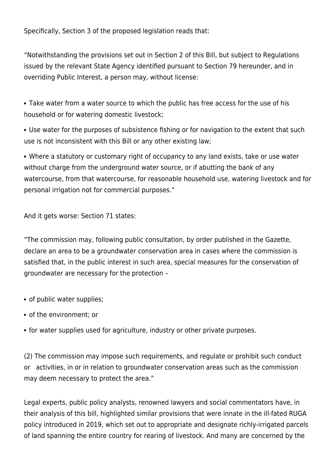Specifically, Section 3 of the proposed legislation reads that:

"Notwithstanding the provisions set out in Section 2 of this Bill, but subject to Regulations issued by the relevant State Agency identified pursuant to Section 79 hereunder, and in overriding Public Interest, a person may, without license:

Take water from a water source to which the public has free access for the use of his household or for watering domestic livestock;

Use water for the purposes of subsistence fishing or for navigation to the extent that such use is not inconsistent with this Bill or any other existing law;

Where a statutory or customary right of occupancy to any land exists, take or use water without charge from the underground water source, or if abutting the bank of any watercourse, from that watercourse, for reasonable household use, watering livestock and for personal irrigation not for commercial purposes."

And it gets worse: Section 71 states:

"The commission may, following public consultation, by order published in the Gazette, declare an area to be a groundwater conservation area in cases where the commission is satisfied that, in the public interest in such area, special measures for the conservation of groundwater are necessary for the protection –

- of public water supplies:
- of the environment; or
- for water supplies used for agriculture, industry or other private purposes.

(2) The commission may impose such requirements, and regulate or prohibit such conduct or activities, in or in relation to groundwater conservation areas such as the commission may deem necessary to protect the area."

Legal experts, public policy analysts, renowned lawyers and social commentators have, in their analysis of this bill, highlighted similar provisions that were innate in the ill-fated RUGA policy introduced in 2019, which set out to appropriate and designate richly-irrigated parcels of land spanning the entire country for rearing of livestock. And many are concerned by the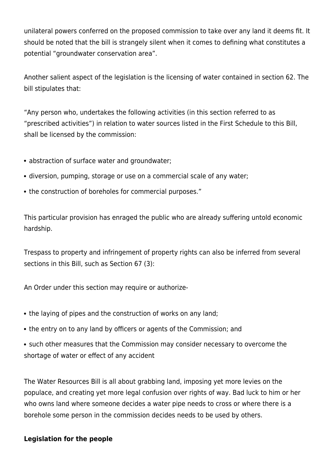unilateral powers conferred on the proposed commission to take over any land it deems fit. It should be noted that the bill is strangely silent when it comes to defining what constitutes a potential "groundwater conservation area".

Another salient aspect of the legislation is the licensing of water contained in section 62. The bill stipulates that:

"Any person who, undertakes the following activities (in this section referred to as "prescribed activities") in relation to water sources listed in the First Schedule to this Bill, shall be licensed by the commission:

- abstraction of surface water and groundwater;
- diversion, pumping, storage or use on a commercial scale of any water;
- the construction of boreholes for commercial purposes."

This particular provision has enraged the public who are already suffering untold economic hardship.

Trespass to property and infringement of property rights can also be inferred from several sections in this Bill, such as Section 67 (3):

An Order under this section may require or authorize-

- the laying of pipes and the construction of works on any land;
- the entry on to any land by officers or agents of the Commission; and
- such other measures that the Commission may consider necessary to overcome the shortage of water or effect of any accident

The Water Resources Bill is all about grabbing land, imposing yet more levies on the populace, and creating yet more legal confusion over rights of way. Bad luck to him or her who owns land where someone decides a water pipe needs to cross or where there is a borehole some person in the commission decides needs to be used by others.

## **Legislation for the people**